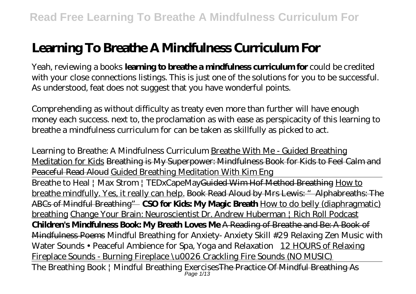# **Learning To Breathe A Mindfulness Curriculum For**

Yeah, reviewing a books **learning to breathe a mindfulness curriculum for** could be credited with your close connections listings. This is just one of the solutions for you to be successful. As understood, feat does not suggest that you have wonderful points.

Comprehending as without difficulty as treaty even more than further will have enough money each success. next to, the proclamation as with ease as perspicacity of this learning to breathe a mindfulness curriculum for can be taken as skillfully as picked to act.

Learning to Breathe: A Mindfulness Curriculum Breathe With Me - Guided Breathing Meditation for Kids Breathing is My Superpower: Mindfulness Book for Kids to Feel Calm and Peaceful Read Aloud Guided Breathing Meditation With Kim Eng Breathe to Heal | Max Strom | TEDxCapeMay<del>Guided Wim Hof Method Breathing</del> How to

breathe mindfully. Yes, it really can help. Book Read Aloud by Mrs Lewis: " Alphabreaths: The ABCs of Mindful Breathing" **CSO for Kids: My Magic Breath** How to do belly (diaphragmatic) breathing Change Your Brain: Neuroscientist Dr. Andrew Huberman | Rich Roll Podcast **Children's Mindfulness Book: My Breath Loves Me** A Reading of Breathe and Be: A Book of Mindfulness Poems *Mindful Breathing for Anxiety- Anxiety Skill #29 Relaxing Zen Music with Water Sounds • Peaceful Ambience for Spa, Yoga and Relaxation* 12 HOURS of Relaxing Fireplace Sounds - Burning Fireplace \u0026 Crackling Fire Sounds (NO MUSIC) The Breathing Book | Mindful Breathing Exercises The Practice Of Mindful Breathing As Page 1/13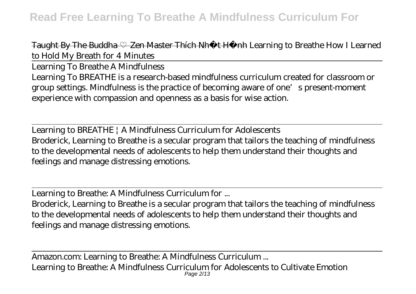#### Taught By The Buddha Zen Master Thích Nh t H<sub>nh</sub> Learning to Breathe How I Learned *to Hold My Breath for 4 Minutes*

Learning To Breathe A Mindfulness Learning To BREATHE is a research-based mindfulness curriculum created for classroom or group settings. Mindfulness is the practice of becoming aware of one's present-moment experience with compassion and openness as a basis for wise action.

Learning to BREATHE | A Mindfulness Curriculum for Adolescents Broderick, Learning to Breathe is a secular program that tailors the teaching of mindfulness to the developmental needs of adolescents to help them understand their thoughts and feelings and manage distressing emotions.

Learning to Breathe: A Mindfulness Curriculum for ...

Broderick, Learning to Breathe is a secular program that tailors the teaching of mindfulness to the developmental needs of adolescents to help them understand their thoughts and feelings and manage distressing emotions.

Amazon.com: Learning to Breathe: A Mindfulness Curriculum ... Learning to Breathe: A Mindfulness Curriculum for Adolescents to Cultivate Emotion Page 2/13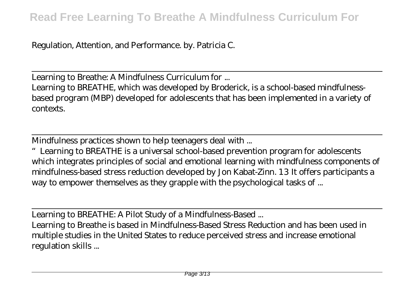Regulation, Attention, and Performance. by. Patricia C.

Learning to Breathe: A Mindfulness Curriculum for ... Learning to BREATHE, which was developed by Broderick, is a school-based mindfulnessbased program (MBP) developed for adolescents that has been implemented in a variety of contexts.

Mindfulness practices shown to help teenagers deal with ...

Learning to BREATHE is a universal school-based prevention program for adolescents which integrates principles of social and emotional learning with mindfulness components of mindfulness-based stress reduction developed by Jon Kabat-Zinn. 13 It offers participants a way to empower themselves as they grapple with the psychological tasks of ...

Learning to BREATHE: A Pilot Study of a Mindfulness-Based ...

Learning to Breathe is based in Mindfulness-Based Stress Reduction and has been used in multiple studies in the United States to reduce perceived stress and increase emotional regulation skills ...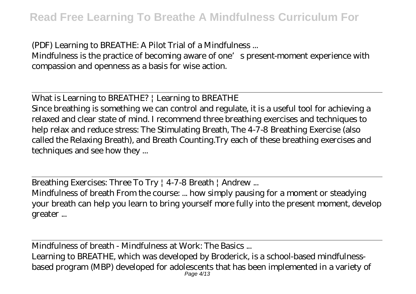(PDF) Learning to BREATHE: A Pilot Trial of a Mindfulness ...

Mindfulness is the practice of becoming aware of one's present-moment experience with compassion and openness as a basis for wise action.

What is Learning to BREATHE? | Learning to BREATHE

Since breathing is something we can control and regulate, it is a useful tool for achieving a relaxed and clear state of mind. I recommend three breathing exercises and techniques to help relax and reduce stress: The Stimulating Breath, The 4-7-8 Breathing Exercise (also called the Relaxing Breath), and Breath Counting.Try each of these breathing exercises and techniques and see how they ...

Breathing Exercises: Three To Try | 4-7-8 Breath | Andrew ...

Mindfulness of breath From the course: ... how simply pausing for a moment or steadying your breath can help you learn to bring yourself more fully into the present moment, develop greater ...

Mindfulness of breath - Mindfulness at Work: The Basics ...

Learning to BREATHE, which was developed by Broderick, is a school-based mindfulnessbased program (MBP) developed for adolescents that has been implemented in a variety of Page 4/13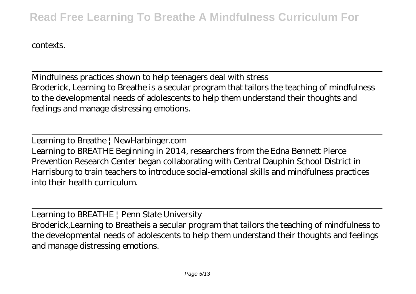#### contexts.

Mindfulness practices shown to help teenagers deal with stress Broderick, Learning to Breathe is a secular program that tailors the teaching of mindfulness to the developmental needs of adolescents to help them understand their thoughts and feelings and manage distressing emotions.

Learning to Breathe | NewHarbinger.com Learning to BREATHE Beginning in 2014, researchers from the Edna Bennett Pierce Prevention Research Center began collaborating with Central Dauphin School District in Harrisburg to train teachers to introduce social-emotional skills and mindfulness practices into their health curriculum.

Learning to BREATHE | Penn State University Broderick,Learning to Breatheis a secular program that tailors the teaching of mindfulness to the developmental needs of adolescents to help them understand their thoughts and feelings and manage distressing emotions.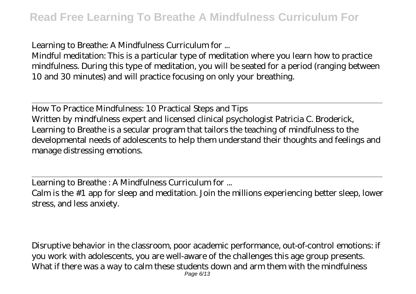Learning to Breathe: A Mindfulness Curriculum for ...

Mindful meditation: This is a particular type of meditation where you learn how to practice mindfulness. During this type of meditation, you will be seated for a period (ranging between 10 and 30 minutes) and will practice focusing on only your breathing.

How To Practice Mindfulness: 10 Practical Steps and Tips Written by mindfulness expert and licensed clinical psychologist Patricia C. Broderick, Learning to Breathe is a secular program that tailors the teaching of mindfulness to the developmental needs of adolescents to help them understand their thoughts and feelings and manage distressing emotions.

Learning to Breathe : A Mindfulness Curriculum for ...

Calm is the #1 app for sleep and meditation. Join the millions experiencing better sleep, lower stress, and less anxiety.

Disruptive behavior in the classroom, poor academic performance, out-of-control emotions: if you work with adolescents, you are well-aware of the challenges this age group presents. What if there was a way to calm these students down and arm them with the mindfulness Page 6/13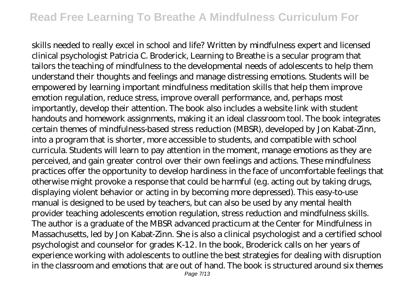skills needed to really excel in school and life? Written by mindfulness expert and licensed clinical psychologist Patricia C. Broderick, Learning to Breathe is a secular program that tailors the teaching of mindfulness to the developmental needs of adolescents to help them understand their thoughts and feelings and manage distressing emotions. Students will be empowered by learning important mindfulness meditation skills that help them improve emotion regulation, reduce stress, improve overall performance, and, perhaps most importantly, develop their attention. The book also includes a website link with student handouts and homework assignments, making it an ideal classroom tool. The book integrates certain themes of mindfulness-based stress reduction (MBSR), developed by Jon Kabat-Zinn, into a program that is shorter, more accessible to students, and compatible with school curricula. Students will learn to pay attention in the moment, manage emotions as they are perceived, and gain greater control over their own feelings and actions. These mindfulness practices offer the opportunity to develop hardiness in the face of uncomfortable feelings that otherwise might provoke a response that could be harmful (e.g. acting out by taking drugs, displaying violent behavior or acting in by becoming more depressed). This easy-to-use manual is designed to be used by teachers, but can also be used by any mental health provider teaching adolescents emotion regulation, stress reduction and mindfulness skills. The author is a graduate of the MBSR advanced practicum at the Center for Mindfulness in Massachusetts, led by Jon Kabat-Zinn. She is also a clinical psychologist and a certified school psychologist and counselor for grades K-12. In the book, Broderick calls on her years of experience working with adolescents to outline the best strategies for dealing with disruption in the classroom and emotions that are out of hand. The book is structured around six themes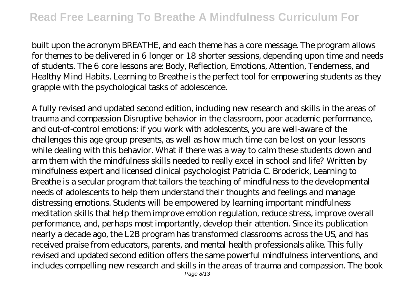built upon the acronym BREATHE, and each theme has a core message. The program allows for themes to be delivered in 6 longer or 18 shorter sessions, depending upon time and needs of students. The 6 core lessons are: Body, Reflection, Emotions, Attention, Tenderness, and Healthy Mind Habits. Learning to Breathe is the perfect tool for empowering students as they grapple with the psychological tasks of adolescence.

A fully revised and updated second edition, including new research and skills in the areas of trauma and compassion Disruptive behavior in the classroom, poor academic performance, and out-of-control emotions: if you work with adolescents, you are well-aware of the challenges this age group presents, as well as how much time can be lost on your lessons while dealing with this behavior. What if there was a way to calm these students down and arm them with the mindfulness skills needed to really excel in school and life? Written by mindfulness expert and licensed clinical psychologist Patricia C. Broderick, Learning to Breathe is a secular program that tailors the teaching of mindfulness to the developmental needs of adolescents to help them understand their thoughts and feelings and manage distressing emotions. Students will be empowered by learning important mindfulness meditation skills that help them improve emotion regulation, reduce stress, improve overall performance, and, perhaps most importantly, develop their attention. Since its publication nearly a decade ago, the L2B program has transformed classrooms across the US, and has received praise from educators, parents, and mental health professionals alike. This fully revised and updated second edition offers the same powerful mindfulness interventions, and includes compelling new research and skills in the areas of trauma and compassion. The book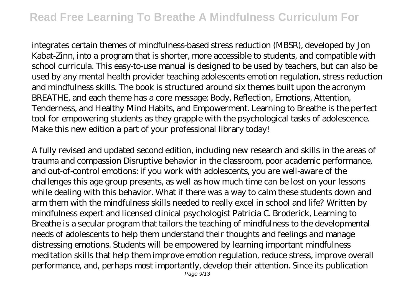### **Read Free Learning To Breathe A Mindfulness Curriculum For**

integrates certain themes of mindfulness-based stress reduction (MBSR), developed by Jon Kabat-Zinn, into a program that is shorter, more accessible to students, and compatible with school curricula. This easy-to-use manual is designed to be used by teachers, but can also be used by any mental health provider teaching adolescents emotion regulation, stress reduction and mindfulness skills. The book is structured around six themes built upon the acronym BREATHE, and each theme has a core message: Body, Reflection, Emotions, Attention, Tenderness, and Healthy Mind Habits, and Empowerment. Learning to Breathe is the perfect tool for empowering students as they grapple with the psychological tasks of adolescence. Make this new edition a part of your professional library today!

A fully revised and updated second edition, including new research and skills in the areas of trauma and compassion Disruptive behavior in the classroom, poor academic performance, and out-of-control emotions: if you work with adolescents, you are well-aware of the challenges this age group presents, as well as how much time can be lost on your lessons while dealing with this behavior. What if there was a way to calm these students down and arm them with the mindfulness skills needed to really excel in school and life? Written by mindfulness expert and licensed clinical psychologist Patricia C. Broderick, Learning to Breathe is a secular program that tailors the teaching of mindfulness to the developmental needs of adolescents to help them understand their thoughts and feelings and manage distressing emotions. Students will be empowered by learning important mindfulness meditation skills that help them improve emotion regulation, reduce stress, improve overall performance, and, perhaps most importantly, develop their attention. Since its publication Page 9/13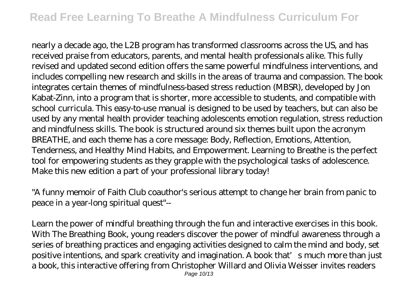## **Read Free Learning To Breathe A Mindfulness Curriculum For**

nearly a decade ago, the L2B program has transformed classrooms across the US, and has received praise from educators, parents, and mental health professionals alike. This fully revised and updated second edition offers the same powerful mindfulness interventions, and includes compelling new research and skills in the areas of trauma and compassion. The book integrates certain themes of mindfulness-based stress reduction (MBSR), developed by Jon Kabat-Zinn, into a program that is shorter, more accessible to students, and compatible with school curricula. This easy-to-use manual is designed to be used by teachers, but can also be used by any mental health provider teaching adolescents emotion regulation, stress reduction and mindfulness skills. The book is structured around six themes built upon the acronym BREATHE, and each theme has a core message: Body, Reflection, Emotions, Attention, Tenderness, and Healthy Mind Habits, and Empowerment. Learning to Breathe is the perfect tool for empowering students as they grapple with the psychological tasks of adolescence. Make this new edition a part of your professional library today!

"A funny memoir of Faith Club coauthor's serious attempt to change her brain from panic to peace in a year-long spiritual quest"--

Learn the power of mindful breathing through the fun and interactive exercises in this book. With The Breathing Book, young readers discover the power of mindful awareness through a series of breathing practices and engaging activities designed to calm the mind and body, set positive intentions, and spark creativity and imagination. A book that's much more than just a book, this interactive offering from Christopher Willard and Olivia Weisser invites readers Page 10/13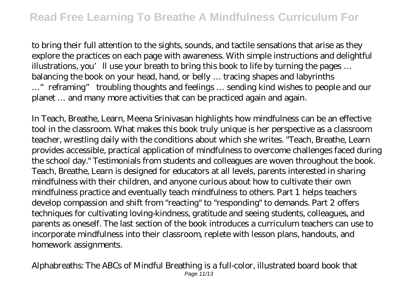to bring their full attention to the sights, sounds, and tactile sensations that arise as they explore the practices on each page with awareness. With simple instructions and delightful illustrations, you'll use your breath to bring this book to life by turning the pages ... balancing the book on your head, hand, or belly … tracing shapes and labyrinths …"reframing" troubling thoughts and feelings … sending kind wishes to people and our planet … and many more activities that can be practiced again and again.

In Teach, Breathe, Learn, Meena Srinivasan highlights how mindfulness can be an effective tool in the classroom. What makes this book truly unique is her perspective as a classroom teacher, wrestling daily with the conditions about which she writes. "Teach, Breathe, Learn provides accessible, practical application of mindfulness to overcome challenges faced during the school day." Testimonials from students and colleagues are woven throughout the book. Teach, Breathe, Learn is designed for educators at all levels, parents interested in sharing mindfulness with their children, and anyone curious about how to cultivate their own mindfulness practice and eventually teach mindfulness to others. Part 1 helps teachers develop compassion and shift from "reacting" to "responding" to demands. Part 2 offers techniques for cultivating loving-kindness, gratitude and seeing students, colleagues, and parents as oneself. The last section of the book introduces a curriculum teachers can use to incorporate mindfulness into their classroom, replete with lesson plans, handouts, and homework assignments.

Alphabreaths: The ABCs of Mindful Breathing is a full-color, illustrated board book that Page 11/13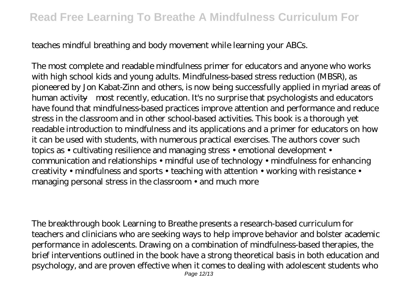teaches mindful breathing and body movement while learning your ABCs.

The most complete and readable mindfulness primer for educators and anyone who works with high school kids and young adults. Mindfulness-based stress reduction (MBSR), as pioneered by Jon Kabat-Zinn and others, is now being successfully applied in myriad areas of human activity—most recently, education. It's no surprise that psychologists and educators have found that mindfulness-based practices improve attention and performance and reduce stress in the classroom and in other school-based activities. This book is a thorough yet readable introduction to mindfulness and its applications and a primer for educators on how it can be used with students, with numerous practical exercises. The authors cover such topics as • cultivating resilience and managing stress • emotional development • communication and relationships • mindful use of technology • mindfulness for enhancing creativity • mindfulness and sports • teaching with attention • working with resistance • managing personal stress in the classroom • and much more

The breakthrough book Learning to Breathe presents a research-based curriculum for teachers and clinicians who are seeking ways to help improve behavior and bolster academic performance in adolescents. Drawing on a combination of mindfulness-based therapies, the brief interventions outlined in the book have a strong theoretical basis in both education and psychology, and are proven effective when it comes to dealing with adolescent students who